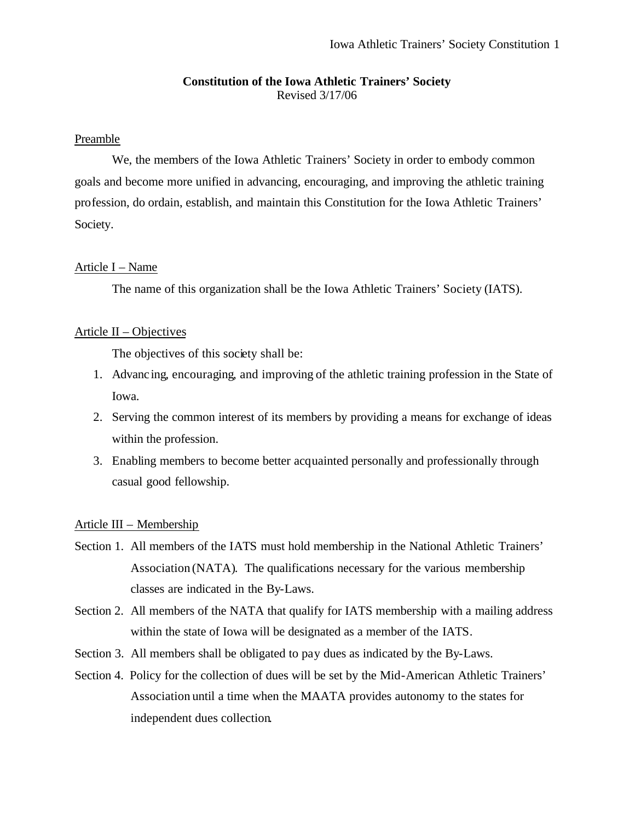# **Constitution of the Iowa Athletic Trainers' Society** Revised 3/17/06

# Preamble

We, the members of the Iowa Athletic Trainers' Society in order to embody common goals and become more unified in advancing, encouraging, and improving the athletic training profession, do ordain, establish, and maintain this Constitution for the Iowa Athletic Trainers' Society.

## Article I – Name

The name of this organization shall be the Iowa Athletic Trainers' Society (IATS).

## Article II – Objectives

The objectives of this society shall be:

- 1. Advancing, encouraging, and improving of the athletic training profession in the State of Iowa.
- 2. Serving the common interest of its members by providing a means for exchange of ideas within the profession.
- 3. Enabling members to become better acquainted personally and professionally through casual good fellowship.

#### Article III – Membership

- Section 1. All members of the IATS must hold membership in the National Athletic Trainers' Association (NATA). The qualifications necessary for the various membership classes are indicated in the By-Laws.
- Section 2. All members of the NATA that qualify for IATS membership with a mailing address within the state of Iowa will be designated as a member of the IATS.
- Section 3. All members shall be obligated to pay dues as indicated by the By-Laws.
- Section 4. Policy for the collection of dues will be set by the Mid-American Athletic Trainers' Association until a time when the MAATA provides autonomy to the states for independent dues collection.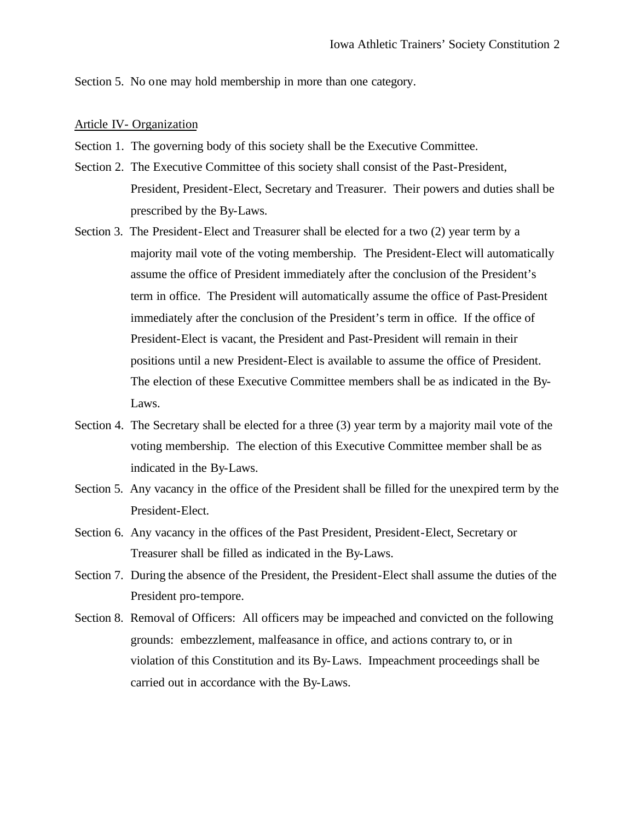Section 5. No one may hold membership in more than one category.

#### Article IV- Organization

- Section 1. The governing body of this society shall be the Executive Committee.
- Section 2. The Executive Committee of this society shall consist of the Past-President, President, President-Elect, Secretary and Treasurer. Their powers and duties shall be prescribed by the By-Laws.
- Section 3. The President-Elect and Treasurer shall be elected for a two (2) year term by a majority mail vote of the voting membership. The President-Elect will automatically assume the office of President immediately after the conclusion of the President's term in office. The President will automatically assume the office of Past-President immediately after the conclusion of the President's term in office. If the office of President-Elect is vacant, the President and Past-President will remain in their positions until a new President-Elect is available to assume the office of President. The election of these Executive Committee members shall be as indicated in the By-Laws.
- Section 4. The Secretary shall be elected for a three (3) year term by a majority mail vote of the voting membership. The election of this Executive Committee member shall be as indicated in the By-Laws.
- Section 5. Any vacancy in the office of the President shall be filled for the unexpired term by the President-Elect.
- Section 6. Any vacancy in the offices of the Past President, President-Elect, Secretary or Treasurer shall be filled as indicated in the By-Laws.
- Section 7. During the absence of the President, the President-Elect shall assume the duties of the President pro-tempore.
- Section 8. Removal of Officers: All officers may be impeached and convicted on the following grounds: embezzlement, malfeasance in office, and actions contrary to, or in violation of this Constitution and its By-Laws. Impeachment proceedings shall be carried out in accordance with the By-Laws.